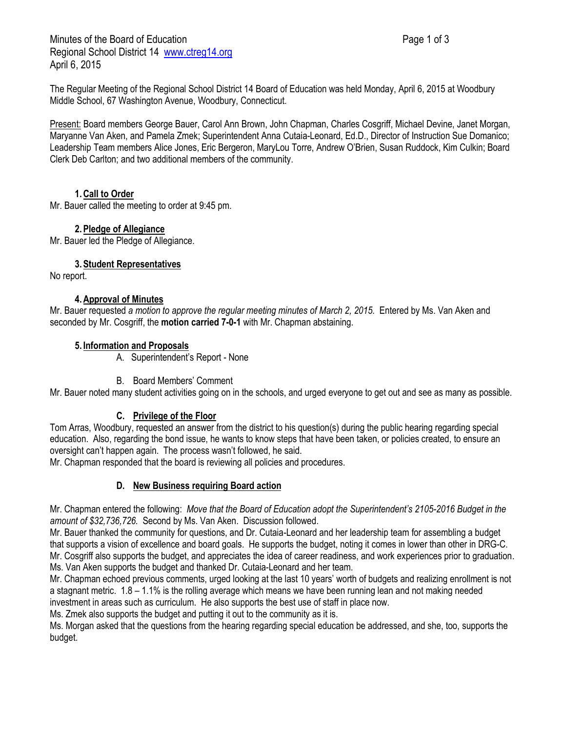Minutes of the Board of Education **Page 1 of 3** Page 1 of 3 Regional School District 14 [www.ctreg14.org](http://www.ctreg14.org/) April 6, 2015

Present: Board members George Bauer, Carol Ann Brown, John Chapman, Charles Cosgriff, Michael Devine, Janet Morgan, Maryanne Van Aken, and Pamela Zmek; Superintendent Anna Cutaia-Leonard, Ed.D., Director of Instruction Sue Domanico; Leadership Team members Alice Jones, Eric Bergeron, MaryLou Torre, Andrew O'Brien, Susan Ruddock, Kim Culkin; Board Clerk Deb Carlton; and two additional members of the community.

# **1.Call to Order**

Mr. Bauer called the meeting to order at 9:45 pm.

## **2.Pledge of Allegiance**

Mr. Bauer led the Pledge of Allegiance.

**3.Student Representatives**

No report.

## **4.Approval of Minutes**

Mr. Bauer requested *a motion to approve the regular meeting minutes of March 2, 2015.* Entered by Ms. Van Aken and seconded by Mr. Cosgriff, the **motion carried 7-0-1** with Mr. Chapman abstaining.

## **5. Information and Proposals**

A. Superintendent's Report - None

## B. Board Members' Comment

Mr. Bauer noted many student activities going on in the schools, and urged everyone to get out and see as many as possible.

## **C. Privilege of the Floor**

Tom Arras, Woodbury, requested an answer from the district to his question(s) during the public hearing regarding special education. Also, regarding the bond issue, he wants to know steps that have been taken, or policies created, to ensure an oversight can't happen again. The process wasn't followed, he said.

Mr. Chapman responded that the board is reviewing all policies and procedures.

## **D. New Business requiring Board action**

Mr. Chapman entered the following: *Move that the Board of Education adopt the Superintendent's 2105-2016 Budget in the amount of \$32,736,726.* Second by Ms. Van Aken. Discussion followed.

Mr. Bauer thanked the community for questions, and Dr. Cutaia-Leonard and her leadership team for assembling a budget that supports a vision of excellence and board goals. He supports the budget, noting it comes in lower than other in DRG-C. Mr. Cosgriff also supports the budget, and appreciates the idea of career readiness, and work experiences prior to graduation. Ms. Van Aken supports the budget and thanked Dr. Cutaia-Leonard and her team.

Mr. Chapman echoed previous comments, urged looking at the last 10 years' worth of budgets and realizing enrollment is not a stagnant metric. 1.8 – 1.1% is the rolling average which means we have been running lean and not making needed investment in areas such as curriculum. He also supports the best use of staff in place now.

Ms. Zmek also supports the budget and putting it out to the community as it is.

Ms. Morgan asked that the questions from the hearing regarding special education be addressed, and she, too, supports the budget.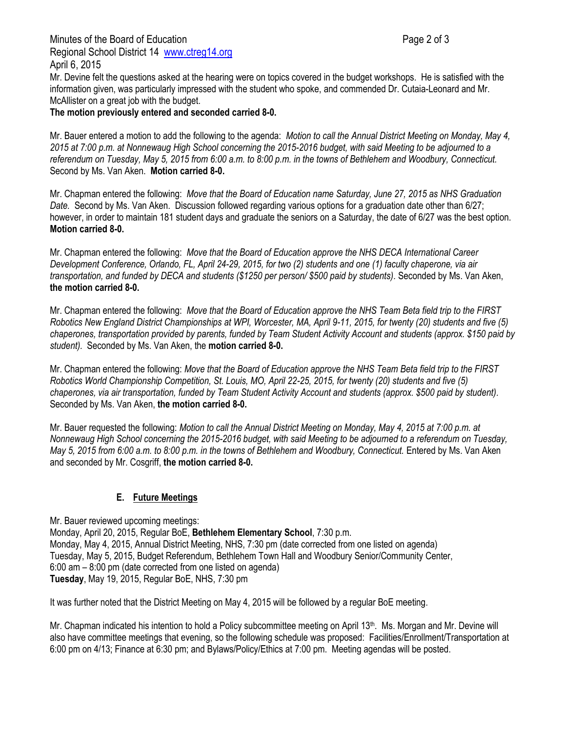Minutes of the Board of Education **Page 2 of 3** and 2 of 3 Regional School District 14 [www.ctreg14.org](http://www.ctreg14.org/) April 6, 2015

Mr. Devine felt the questions asked at the hearing were on topics covered in the budget workshops. He is satisfied with the information given, was particularly impressed with the student who spoke, and commended Dr. Cutaia-Leonard and Mr. McAllister on a great job with the budget.

**The motion previously entered and seconded carried 8-0.**

Mr. Bauer entered a motion to add the following to the agenda: *Motion to call the Annual District Meeting on Monday, May 4, 2015 at 7:00 p.m. at Nonnewaug High School concerning the 2015-2016 budget, with said Meeting to be adjourned to a referendum on Tuesday, May 5, 2015 from 6:00 a.m. to 8:00 p.m. in the towns of Bethlehem and Woodbury, Connecticut.*  Second by Ms. Van Aken. **Motion carried 8-0.**

Mr. Chapman entered the following: *Move that the Board of Education name Saturday, June 27, 2015 as NHS Graduation Date.* Second by Ms. Van Aken. Discussion followed regarding various options for a graduation date other than 6/27; however, in order to maintain 181 student days and graduate the seniors on a Saturday, the date of 6/27 was the best option. **Motion carried 8-0.** 

Mr. Chapman entered the following: *Move that the Board of Education approve the NHS DECA International Career Development Conference, Orlando, FL, April 24-29, 2015, for two (2) students and one (1) faculty chaperone, via air transportation, and funded by DECA and students (\$1250 per person/ \$500 paid by students).* Seconded by Ms. Van Aken, **the motion carried 8-0.**

Mr. Chapman entered the following: *Move that the Board of Education approve the NHS Team Beta field trip to the FIRST Robotics New England District Championships at WPI, Worcester, MA, April 9-11, 2015, for twenty (20) students and five (5) chaperones, transportation provided by parents, funded by Team Student Activity Account and students (approx. \$150 paid by student).* Seconded by Ms. Van Aken, the **motion carried 8-0.**

Mr. Chapman entered the following: *Move that the Board of Education approve the NHS Team Beta field trip to the FIRST Robotics World Championship Competition, St. Louis, MO, April 22-25, 2015, for twenty (20) students and five (5) chaperones, via air transportation, funded by Team Student Activity Account and students (approx. \$500 paid by student).*  Seconded by Ms. Van Aken, **the motion carried 8-0.**

Mr. Bauer requested the following: *Motion to call the Annual District Meeting on Monday, May 4, 2015 at 7:00 p.m. at Nonnewaug High School concerning the 2015-2016 budget, with said Meeting to be adjourned to a referendum on Tuesday, May 5, 2015 from 6:00 a.m. to 8:00 p.m. in the towns of Bethlehem and Woodbury, Connecticut.* Entered by Ms. Van Aken and seconded by Mr. Cosgriff, **the motion carried 8-0.**

## **E. Future Meetings**

Mr. Bauer reviewed upcoming meetings: Monday, April 20, 2015, Regular BoE, **Bethlehem Elementary School**, 7:30 p.m. Monday, May 4, 2015, Annual District Meeting, NHS, 7:30 pm (date corrected from one listed on agenda) Tuesday, May 5, 2015, Budget Referendum, Bethlehem Town Hall and Woodbury Senior/Community Center, 6:00 am – 8:00 pm (date corrected from one listed on agenda) **Tuesday**, May 19, 2015, Regular BoE, NHS, 7:30 pm

It was further noted that the District Meeting on May 4, 2015 will be followed by a regular BoE meeting.

Mr. Chapman indicated his intention to hold a Policy subcommittee meeting on April 13<sup>th</sup>. Ms. Morgan and Mr. Devine will also have committee meetings that evening, so the following schedule was proposed: Facilities/Enrollment/Transportation at 6:00 pm on 4/13; Finance at 6:30 pm; and Bylaws/Policy/Ethics at 7:00 pm. Meeting agendas will be posted.